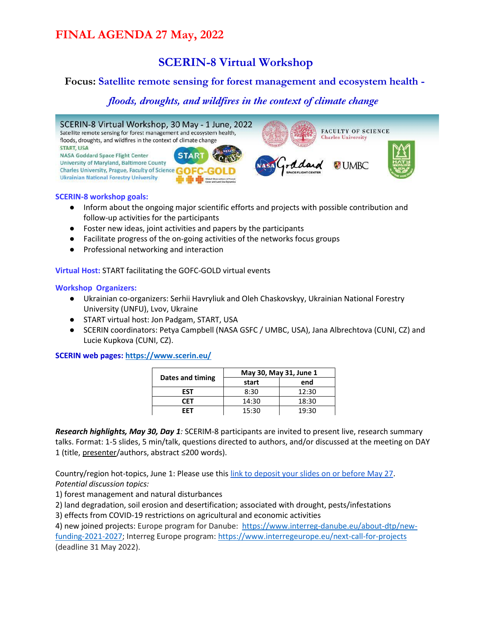### **SCERIN-8 Virtual Workshop**

#### **Focus: Satellite remote sensing for forest management and ecosystem health -**

#### *floods, droughts, and wildfires in the context of climate change*



#### **SCERIN-8 workshop goals:**

- Inform about the ongoing major scientific efforts and projects with possible contribution and follow-up activities for the participants
- Foster new ideas, joint activities and papers by the participants
- Facilitate progress of the on-going activities of the networks focus groups
- Professional networking and interaction

**Virtual Host:** START facilitating the GOFC-GOLD virtual events

#### **Workshop Organizers:**

- Ukrainian co-organizers: Serhii Havryliuk and Oleh Chaskovskyy, Ukrainian National Forestry University (UNFU), Lvov, Ukraine
- START virtual host: Jon Padgam, START, USA
- SCERIN coordinators: Petya Campbell (NASA GSFC / UMBC, USA), Jana Albrechtova (CUNI, CZ) and Lucie Kupkova (CUNI, CZ).

**SCERIN web pages:<https://www.scerin.eu/>**

|                  | May 30, May 31, June 1 |       |  |
|------------------|------------------------|-------|--|
| Dates and timing | start                  | end   |  |
| FST              | 8:30                   | 12:30 |  |
| CFT              | 14:30                  | 18:30 |  |
| FFT              | 15:30                  | 19:30 |  |

*Research highlights, May 30, Day 1:* SCERIM-8 participants are invited to present live, research summary talks. Format: 1-5 slides, 5 min/talk, questions directed to authors, and/or discussed at the meeting on DAY 1 (title, presenter/authors, abstract ≤200 words).

Country/region hot-topics, June 1: Please use thi[s link to deposit your slides on or before May 27.](https://drive.google.com/drive/folders/1Z2VzQyxTxr5OSH87FZcdM3lofz68P0El?usp=sharing) *Potential discussion topics:* 

1) forest management and natural disturbances

2) land degradation, soil erosion and desertification; associated with drought, pests/infestations

3) effects from COVID-19 restrictions on agricultural and economic activities

4) new joined projects: Europe program for Danube: [https://www.interreg-danube.eu/about-dtp/new](https://www.interreg-danube.eu/about-dtp/new-funding-2021-2027)[funding-2021-2027;](https://www.interreg-danube.eu/about-dtp/new-funding-2021-2027) Interreg Europe program[: https://www.interregeurope.eu/next-call-for-projects](https://www.interregeurope.eu/next-call-for-projects) (deadline 31 May 2022).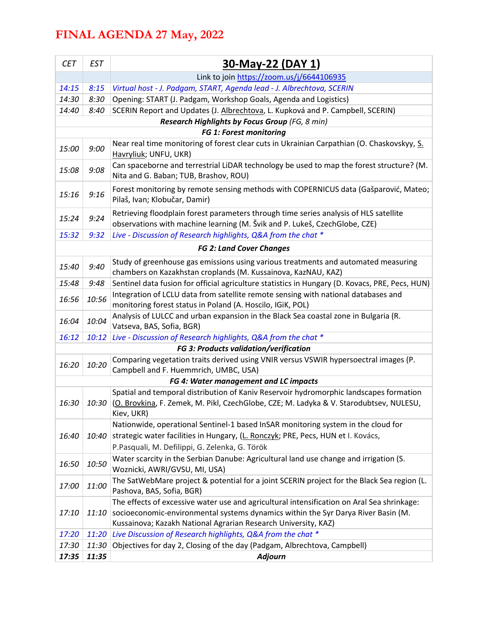| <b>CET</b> | <b>EST</b> | <u>30-May-22 (DAY 1)</u>                                                                                                                                                                                                                          |  |  |  |
|------------|------------|---------------------------------------------------------------------------------------------------------------------------------------------------------------------------------------------------------------------------------------------------|--|--|--|
|            |            | Link to join https://zoom.us/j/6644106935                                                                                                                                                                                                         |  |  |  |
| 14:15      | 8:15       | Virtual host - J. Padgam, START, Agenda lead - J. Albrechtova, SCERIN                                                                                                                                                                             |  |  |  |
| 14:30      | 8:30       | Opening: START (J. Padgam, Workshop Goals, Agenda and Logistics)                                                                                                                                                                                  |  |  |  |
| 14:40      | 8:40       | SCERIN Report and Updates (J. Albrechtova, L. Kupková and P. Campbell, SCERIN)                                                                                                                                                                    |  |  |  |
|            |            | Research Highlights by Focus Group (FG, 8 min)                                                                                                                                                                                                    |  |  |  |
|            |            | FG 1: Forest monitoring                                                                                                                                                                                                                           |  |  |  |
| 15:00      | 9:00       | Near real time monitoring of forest clear cuts in Ukrainian Carpathian (O. Chaskovskyy, S.<br>Havryliuk; UNFU, UKR)                                                                                                                               |  |  |  |
| 15:08      | 9:08       | Can spaceborne and terrestrial LiDAR technology be used to map the forest structure? (M.<br>Nita and G. Baban; TUB, Brashov, ROU)                                                                                                                 |  |  |  |
| 15:16      | 9:16       | Forest monitoring by remote sensing methods with COPERNICUS data (Gašparović, Mateo;<br>Pilaš, Ivan; Klobučar, Damir)                                                                                                                             |  |  |  |
| 15:24      | 9:24       | Retrieving floodplain forest parameters through time series analysis of HLS satellite<br>observations with machine learning (M. Švik and P. Lukeš, CzechGlobe, CZE)                                                                               |  |  |  |
| 15:32      | 9:32       | Live - Discussion of Research highlights, Q&A from the chat *                                                                                                                                                                                     |  |  |  |
|            |            | <b>FG 2: Land Cover Changes</b>                                                                                                                                                                                                                   |  |  |  |
| 15:40      | 9:40       | Study of greenhouse gas emissions using various treatments and automated measuring<br>chambers on Kazakhstan croplands (M. Kussainova, KazNAU, KAZ)                                                                                               |  |  |  |
| 15:48      | 9:48       | Sentinel data fusion for official agriculture statistics in Hungary (D. Kovacs, PRE, Pecs, HUN)                                                                                                                                                   |  |  |  |
| 16:56      | 10:56      | Integration of LCLU data from satellite remote sensing with national databases and<br>monitoring forest status in Poland (A. Hoscilo, IGiK, POL)                                                                                                  |  |  |  |
| 16:04      | 10:04      | Analysis of LULCC and urban expansion in the Black Sea coastal zone in Bulgaria (R.<br>Vatseva, BAS, Sofia, BGR)                                                                                                                                  |  |  |  |
| 16:12      | 10:12      | Live - Discussion of Research highlights, Q&A from the chat *                                                                                                                                                                                     |  |  |  |
|            |            | FG 3: Products validation/verification                                                                                                                                                                                                            |  |  |  |
| 16:20      | 10:20      | Comparing vegetation traits derived using VNIR versus VSWIR hypersoectral images (P.<br>Campbell and F. Huemmrich, UMBC, USA)                                                                                                                     |  |  |  |
|            |            | FG 4: Water management and LC impacts                                                                                                                                                                                                             |  |  |  |
|            |            | Spatial and temporal distribution of Kaniv Reservoir hydromorphic landscapes formation<br>16:30   10:30   (O. Brovkina, F. Zemek, M. Pikl, CzechGlobe, CZE; M. Ladyka & V. Starodubtsev, NULESU,<br>Kiev, UKR)                                    |  |  |  |
|            |            | Nationwide, operational Sentinel-1 based InSAR monitoring system in the cloud for                                                                                                                                                                 |  |  |  |
| 16:40      | 10:40      | strategic water facilities in Hungary, (L. Ronczyk; PRE, Pecs, HUN et I. Kovács,<br>P.Pasquali, M. Defilippi, G. Zelenka, G. Török                                                                                                                |  |  |  |
| 16:50      | 10:50      | Water scarcity in the Serbian Danube: Agricultural land use change and irrigation (S.<br>Woznicki, AWRI/GVSU, MI, USA)                                                                                                                            |  |  |  |
| 17:00      | 11:00      | The SatWebMare project & potential for a joint SCERIN project for the Black Sea region (L.<br>Pashova, BAS, Sofia, BGR)                                                                                                                           |  |  |  |
| 17:10      | 11:10      | The effects of excessive water use and agricultural intensification on Aral Sea shrinkage:<br>socioeconomic-environmental systems dynamics within the Syr Darya River Basin (M.<br>Kussainova; Kazakh National Agrarian Research University, KAZ) |  |  |  |
| 17:20      | 11:20      | Live Discussion of Research highlights, Q&A from the chat *                                                                                                                                                                                       |  |  |  |
| 17:30      | 11:30      | Objectives for day 2, Closing of the day (Padgam, Albrechtova, Campbell)                                                                                                                                                                          |  |  |  |
| 17:35      | 11:35      | <b>Adjourn</b>                                                                                                                                                                                                                                    |  |  |  |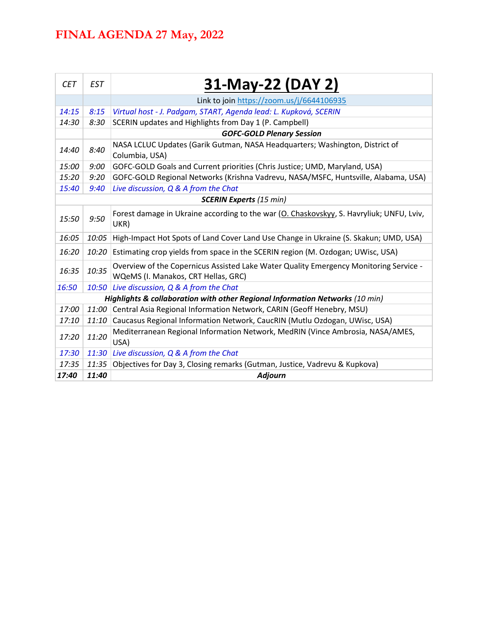| <b>CET</b>                                                                   | <b>EST</b> | 31-May-22 (DAY 2)                                                                                                            |  |  |  |
|------------------------------------------------------------------------------|------------|------------------------------------------------------------------------------------------------------------------------------|--|--|--|
|                                                                              |            | Link to join https://zoom.us/j/6644106935                                                                                    |  |  |  |
| 14:15                                                                        | 8:15       | Virtual host - J. Padgam, START, Agenda lead: L. Kupková, SCERIN                                                             |  |  |  |
| 14:30                                                                        | 8:30       | SCERIN updates and Highlights from Day 1 (P. Campbell)                                                                       |  |  |  |
|                                                                              |            | <b>GOFC-GOLD Plenary Session</b>                                                                                             |  |  |  |
| 14:40                                                                        | 8:40       | NASA LCLUC Updates (Garik Gutman, NASA Headquarters; Washington, District of<br>Columbia, USA)                               |  |  |  |
| 15:00                                                                        | 9:00       | GOFC-GOLD Goals and Current priorities (Chris Justice; UMD, Maryland, USA)                                                   |  |  |  |
| 15:20                                                                        | 9:20       | GOFC-GOLD Regional Networks (Krishna Vadrevu, NASA/MSFC, Huntsville, Alabama, USA)                                           |  |  |  |
| 15:40                                                                        | 9:40       | Live discussion, Q & A from the Chat                                                                                         |  |  |  |
| <b>SCERIN Experts (15 min)</b>                                               |            |                                                                                                                              |  |  |  |
| 15:50                                                                        | 9:50       | Forest damage in Ukraine according to the war (O. Chaskovskyy, S. Havryliuk; UNFU, Lviv,<br>UKR)                             |  |  |  |
| 16:05                                                                        | 10:05      | High-Impact Hot Spots of Land Cover Land Use Change in Ukraine (S. Skakun; UMD, USA)                                         |  |  |  |
| 16:20                                                                        | 10:20      | Estimating crop yields from space in the SCERIN region (M. Ozdogan; UWisc, USA)                                              |  |  |  |
| 16:35                                                                        | 10:35      | Overview of the Copernicus Assisted Lake Water Quality Emergency Monitoring Service -<br>WQeMS (I. Manakos, CRT Hellas, GRC) |  |  |  |
| 16:50                                                                        | 10:50      | Live discussion, Q & A from the Chat                                                                                         |  |  |  |
| Highlights & collaboration with other Regional Information Networks (10 min) |            |                                                                                                                              |  |  |  |
| 17:00                                                                        | 11:00      | Central Asia Regional Information Network, CARIN (Geoff Henebry, MSU)                                                        |  |  |  |
| 17:10                                                                        | 11:10      | Caucasus Regional Information Network, CaucRIN (Mutlu Ozdogan, UWisc, USA)                                                   |  |  |  |
| 17:20                                                                        | 11:20      | Mediterranean Regional Information Network, MedRIN (Vince Ambrosia, NASA/AMES,<br>USA)                                       |  |  |  |
| 17:30                                                                        | 11:30      | Live discussion, Q & A from the Chat                                                                                         |  |  |  |
| 17:35                                                                        | 11:35      | Objectives for Day 3, Closing remarks (Gutman, Justice, Vadrevu & Kupkova)                                                   |  |  |  |
| 17:40                                                                        | 11:40      | <b>Adjourn</b>                                                                                                               |  |  |  |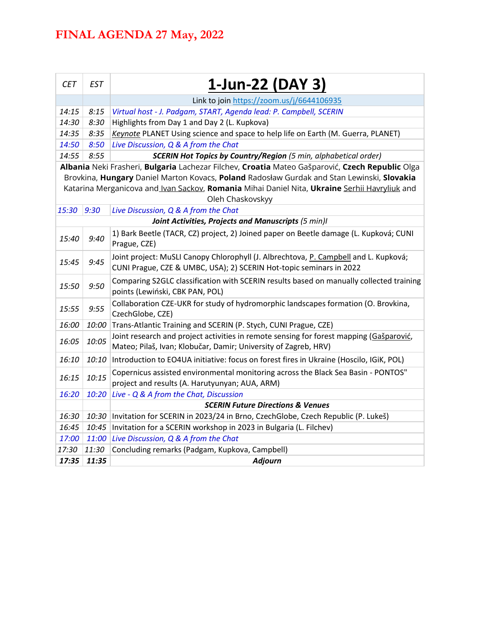| <b>CET</b>                                                                                                        | <b>EST</b> | 1-Jun-22 (DAY 3)                                                                                                                                            |  |  |
|-------------------------------------------------------------------------------------------------------------------|------------|-------------------------------------------------------------------------------------------------------------------------------------------------------------|--|--|
|                                                                                                                   |            | Link to join https://zoom.us/j/6644106935                                                                                                                   |  |  |
| 14:15                                                                                                             | 8:15       | Virtual host - J. Padgam, START, Agenda lead: P. Campbell, SCERIN                                                                                           |  |  |
| 14:30                                                                                                             | 8:30       | Highlights from Day 1 and Day 2 (L. Kupkova)                                                                                                                |  |  |
| 14:35                                                                                                             | 8:35       | Keynote PLANET Using science and space to help life on Earth (M. Guerra, PLANET)                                                                            |  |  |
| 14:50                                                                                                             | 8:50       | Live Discussion, Q & A from the Chat                                                                                                                        |  |  |
| 14:55                                                                                                             | 8:55       | <b>SCERIN Hot Topics by Country/Region</b> (5 min, alphabetical order)                                                                                      |  |  |
|                                                                                                                   |            | Albania Neki Frasheri, Bulgaria Lachezar Filchev, Croatia Mateo Gašparović, Czech Republic Olga                                                             |  |  |
|                                                                                                                   |            | Brovkina, Hungary Daniel Marton Kovacs, Poland Radosław Gurdak and Stan Lewinski, Slovakia                                                                  |  |  |
| Katarina Merganicova and Ivan Sackov, Romania Mihai Daniel Nita, Ukraine Serhii Havryliuk and<br>Oleh Chaskovskyy |            |                                                                                                                                                             |  |  |
| 15:30                                                                                                             | 9:30       | Live Discussion, Q & A from the Chat                                                                                                                        |  |  |
|                                                                                                                   |            | Joint Activities, Projects and Manuscripts (5 min)I                                                                                                         |  |  |
| 15:40                                                                                                             | 9:40       | 1) Bark Beetle (TACR, CZ) project, 2) Joined paper on Beetle damage (L. Kupková; CUNI<br>Prague, CZE)                                                       |  |  |
| 15:45                                                                                                             | 9:45       | Joint project: MuSLI Canopy Chlorophyll (J. Albrechtova, P. Campbell and L. Kupková;<br>CUNI Prague, CZE & UMBC, USA); 2) SCERIN Hot-topic seminars in 2022 |  |  |
| 15:50                                                                                                             | 9:50       | Comparing S2GLC classification with SCERIN results based on manually collected training<br>points (Lewiński, CBK PAN, POL)                                  |  |  |
| 15:55                                                                                                             | 9:55       | Collaboration CZE-UKR for study of hydromorphic landscapes formation (O. Brovkina,<br>CzechGlobe, CZE)                                                      |  |  |
| 16:00                                                                                                             | 10:00      | Trans-Atlantic Training and SCERIN (P. Stych, CUNI Prague, CZE)                                                                                             |  |  |
| 16:05                                                                                                             | 10:05      | Joint research and project activities in remote sensing for forest mapping (Gašparović,<br>Mateo; Pilaš, Ivan; Klobučar, Damir; University of Zagreb, HRV)  |  |  |
| 16:10                                                                                                             | 10:10      | Introduction to EO4UA initiative: focus on forest fires in Ukraine (Hoscilo, IGiK, POL)                                                                     |  |  |
| 16:15                                                                                                             | 10:15      | Copernicus assisted environmental monitoring across the Black Sea Basin - PONTOS"<br>project and results (A. Harutyunyan; AUA, ARM)                         |  |  |
| 16:20                                                                                                             | 10:20      | Live - Q & A from the Chat, Discussion                                                                                                                      |  |  |
|                                                                                                                   |            | <b>SCERIN Future Directions &amp; Venues</b>                                                                                                                |  |  |
| 16:30                                                                                                             | 10:30      | Invitation for SCERIN in 2023/24 in Brno, CzechGlobe, Czech Republic (P. Lukeš)                                                                             |  |  |
| 16:45                                                                                                             | 10:45      | Invitation for a SCERIN workshop in 2023 in Bulgaria (L. Filchev)                                                                                           |  |  |
| 17:00                                                                                                             | 11:00      | Live Discussion, Q & A from the Chat                                                                                                                        |  |  |
| 17:30                                                                                                             | 11:30      | Concluding remarks (Padgam, Kupkova, Campbell)                                                                                                              |  |  |
| 17:35                                                                                                             | 11:35      | <b>Adjourn</b>                                                                                                                                              |  |  |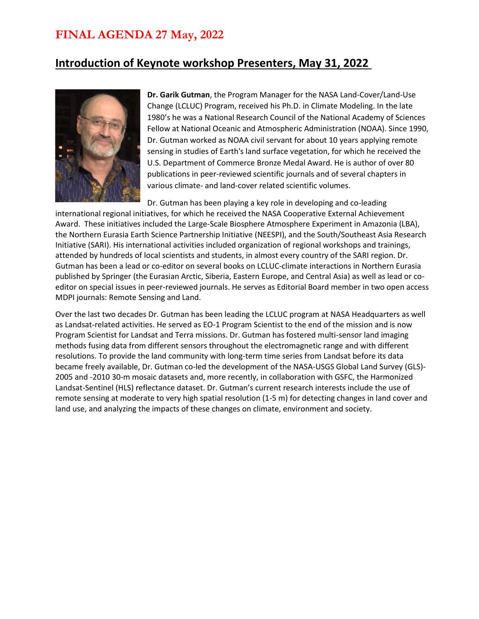#### **Introduction of Keynote workshop Presenters, May 31, 2022**



**Dr. Garik Gutman**, the Program Manager for the NASA Land-Cover/Land-Use Change (LCLUC) Program, received his Ph.D. in Climate Modeling. In the late 1980's he was a National Research Council of the National Academy of Sciences Fellow at National Oceanic and Atmospheric Administration (NOAA). Since 1990, Dr. Gutman worked as NOAA civil servant for about 10 years applying remote sensing in studies of Earth's land surface vegetation, for which he received the U.S. Department of Commerce Bronze Medal Award. He is author of over 80 publications in peer-reviewed scientific journals and of several chapters in various climate- and land-cover related scientific volumes.

Dr. Gutman has been playing a key role in developing and co-leading international regional initiatives, for which he received the NASA Cooperative External Achievement Award. These initiatives included the Large-Scale Biosphere Atmosphere Experiment in Amazonia (LBA), the Northern Eurasia Earth Science Partnership Initiative (NEESPI), and the South/Southeast Asia Research Initiative (SARI). His international activities included organization of regional workshops and trainings, attended by hundreds of local scientists and students, in almost every country of the SARI region. Dr. Gutman has been a lead or co-editor on several books on LCLUC-climate interactions in Northern Eurasia published by Springer (the Eurasian Arctic, Siberia, Eastern Europe, and Central Asia) as well as lead or coeditor on special issues in peer-reviewed journals. He serves as Editorial Board member in two open access MDPI journals: Remote Sensing and Land.

Over the last two decades Dr. Gutman has been leading the LCLUC program at NASA Headquarters as well as Landsat-related activities. He served as EO-1 Program Scientist to the end of the mission and is now Program Scientist for Landsat and Terra missions. Dr. Gutman has fostered multi-sensor land imaging methods fusing data from different sensors throughout the electromagnetic range and with different resolutions. To provide the land community with long-term time series from Landsat before its data became freely available, Dr. Gutman co-led the development of the NASA-USGS Global Land Survey (GLS)- 2005 and -2010 30-m mosaic datasets and, more recently, in collaboration with GSFC, the Harmonized Landsat-Sentinel (HLS) reflectance dataset. Dr. Gutman's current research interests include the use of remote sensing at moderate to very high spatial resolution (1-5 m) for detecting changes in land cover and land use, and analyzing the impacts of these changes on climate, environment and society.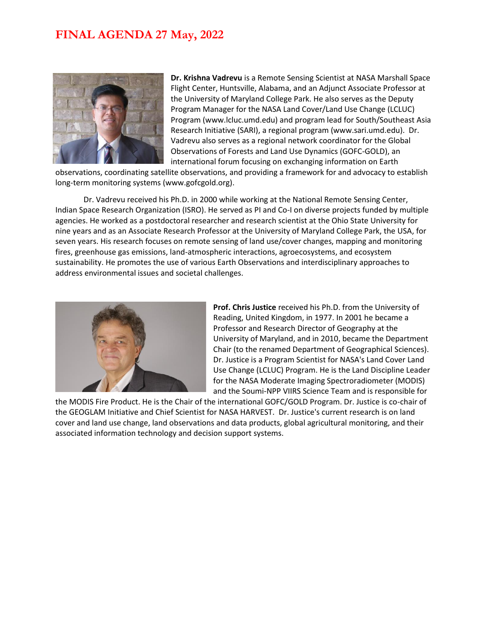

**Dr. Krishna Vadrevu** is a Remote Sensing Scientist at NASA Marshall Space Flight Center, Huntsville, Alabama, and an Adjunct Associate Professor at the University of Maryland College Park. He also serves as the Deputy Program Manager for the NASA Land Cover/Land Use Change (LCLUC) Program (www.lcluc.umd.edu) and program lead for South/Southeast Asia Research Initiative (SARI), a regional program (www.sari.umd.edu). Dr. Vadrevu also serves as a regional network coordinator for the Global Observations of Forests and Land Use Dynamics (GOFC-GOLD), an international forum focusing on exchanging information on Earth

observations, coordinating satellite observations, and providing a framework for and advocacy to establish long-term monitoring systems (www.gofcgold.org).

Dr. Vadrevu received his Ph.D. in 2000 while working at the National Remote Sensing Center, Indian Space Research Organization (ISRO). He served as PI and Co-I on diverse projects funded by multiple agencies. He worked as a postdoctoral researcher and research scientist at the Ohio State University for nine years and as an Associate Research Professor at the University of Maryland College Park, the USA, for seven years. His research focuses on remote sensing of land use/cover changes, mapping and monitoring fires, greenhouse gas emissions, land-atmospheric interactions, agroecosystems, and ecosystem sustainability. He promotes the use of various Earth Observations and interdisciplinary approaches to address environmental issues and societal challenges.



**Prof. Chris Justice** received his Ph.D. from the University of Reading, United Kingdom, in 1977. In 2001 he became a Professor and Research Director of Geography at the University of Maryland, and in 2010, became the Department Chair (to the renamed Department of Geographical Sciences). Dr. Justice is a Program Scientist for NASA's Land Cover Land Use Change (LCLUC) Program. He is the Land Discipline Leader for the NASA Moderate Imaging Spectroradiometer (MODIS) and the Soumi-NPP VIIRS Science Team and is responsible for

the MODIS Fire Product. He is the Chair of the international GOFC/GOLD Program. Dr. Justice is co-chair of the GEOGLAM Initiative and Chief Scientist for NASA HARVEST. Dr. Justice's current research is on land cover and land use change, land observations and data products, global agricultural monitoring, and their associated information technology and decision support systems.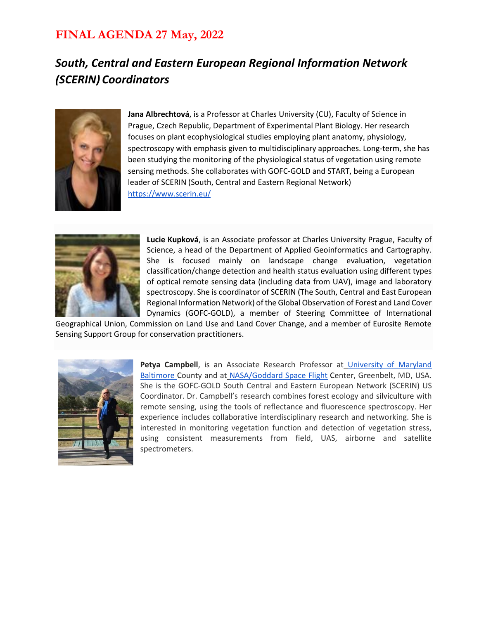### *South, Central and Eastern European Regional Information Network (SCERIN) Coordinators*



**Jana Albrechtová**, is a Professor at Charles University (CU), Faculty of Science in Prague, Czech Republic, Department of Experimental Plant Biology. Her research focuses on plant ecophysiological studies employing plant anatomy, physiology, spectroscopy with emphasis given to multidisciplinary approaches. Long-term, she has been studying the monitoring of the physiological status of vegetation using remote sensing methods. She collaborates with GOFC-GOLD and START, being a European leader of SCERIN (South, Central and Eastern Regional Network) <https://www.scerin.eu/>



**Lucie Kupková**, is an Associate professor at Charles University Prague, Faculty of Science, a head of the Department of Applied Geoinformatics and Cartography. She is focused mainly on landscape change evaluation, vegetation classification/change detection and health status evaluation using different types of optical remote sensing data (including data from UAV), image and laboratory spectroscopy. She is coordinator of SCERIN (The South, Central and East European Regional Information Network) of the Global Observation of Forest and Land Cover Dynamics (GOFC-GOLD), a member of Steering Committee of International

Geographical Union, Commission on Land Use and Land Cover Change, and a member of Eurosite Remote Sensing Support Group for conservation practitioners.



**Petya Campbell**, is an Associate Research Professor a[t](https://ges.umbc.edu/people/person/tu37689/) [University of Maryland](https://ges.umbc.edu/people/person/tu37689/)  [Baltimore C](https://ges.umbc.edu/people/person/tu37689/)ounty and at [NASA/Goddard Space Flight](https://science.gsfc.nasa.gov/sed/bio/petya.k.campbell) Center, Greenbelt, MD, USA. She is the GOFC-GOLD South Central and Eastern European Network (SCERIN) US Coordinator. Dr. Campbell's research combines forest ecology and silviculture with remote sensing, using the tools of reflectance and fluorescence spectroscopy. Her experience includes collaborative interdisciplinary research and networking. She is interested in monitoring vegetation function and detection of vegetation stress, using consistent measurements from field, UAS, airborne and satellite spectrometers.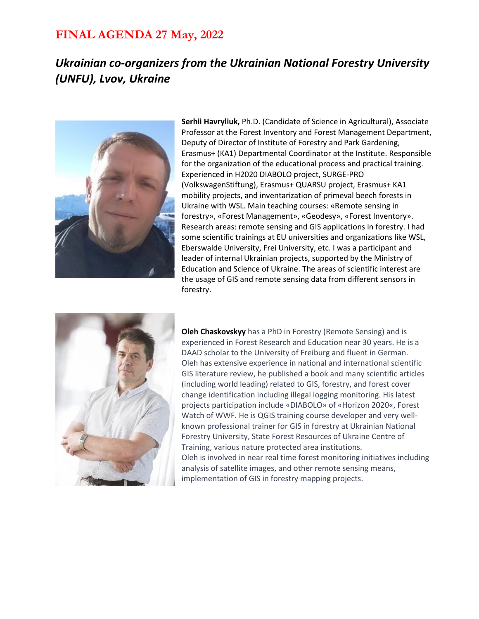### *Ukrainian co-organizers from the Ukrainian National Forestry University (UNFU), Lvov, Ukraine*



**Serhii Havryliuk,** Ph.D. (Candidate of Science in Agricultural), Associate Professor at the Forest Inventory and Forest Management Department, Deputy of Director of Institute of Forestry and Park Gardening, Erasmus+ (KA1) Departmental Coordinator at the Institute. Responsible for the organization of the educational process and practical training. Experienced in H2020 DIABOLO project, SURGE-PRO (VolkswagenStiftung), Erasmus+ QUARSU project, Erasmus+ KA1 mobility projects, and inventarization of primeval beech forests in Ukraine with WSL. Main teaching courses: «Remote sensing in forestry», «Forest Management», «Geodesy», «Forest Inventory». Research areas: remote sensing and GIS applications in forestry. I had some scientific trainings at EU universities and organizations like WSL, Eberswalde University, Frei University, etc. I was a participant and leader of internal Ukrainian projects, supported by the Ministry of Education and Science of Ukraine. The areas of scientific interest are the usage of GIS and remote sensing data from different sensors in forestry.



**Oleh Chaskovskyy** has a PhD in Forestry (Remote Sensing) and is experienced in Forest Research and Education near 30 years. He is a DAAD scholar to the University of Freiburg and fluent in German. Oleh has extensive experience in national and international scientific GIS literature review, he published a book and many scientific articles (including world leading) related to GIS, forestry, and forest cover change identification including illegal logging monitoring. His latest projects participation include «DIABOLO» of «Horizon 2020«, Forest Watch of WWF. He is QGIS training course developer and very wellknown professional trainer for GIS in forestry at Ukrainian National Forestry University, State Forest Resources of Ukraine Centre of Training, various nature protected area institutions. Oleh is involved in near real time forest monitoring initiatives including analysis of satellite images, and other remote sensing means, implementation of GIS in forestry mapping projects.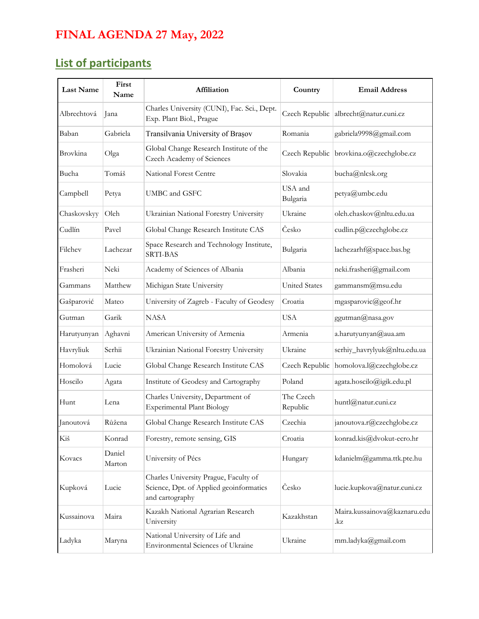## **List of participants**

| <b>Last Name</b> | First<br>Name    | Affiliation                                                                                         | Country               | <b>Email Address</b>                      |
|------------------|------------------|-----------------------------------------------------------------------------------------------------|-----------------------|-------------------------------------------|
| Albrechtová      | Jana             | Charles University (CUNI), Fac. Sci., Dept.<br>Exp. Plant Biol., Prague                             |                       | Czech Republic albrecht@natur.cuni.cz     |
| Baban            | Gabriela         | Transilvania University of Brașov                                                                   | Romania               | gabriela9998@gmail.com                    |
| Brovkina         | Olga             | Global Change Research Institute of the<br>Czech Academy of Sciences                                |                       | Czech Republic   brovkina.o@czechglobe.cz |
| Bucha            | Tomáš            | National Forest Centre                                                                              | Slovakia              | bucha@nlcsk.org                           |
| Campbell         | Petya            | UMBC and GSFC                                                                                       | USA and<br>Bulgaria   | petya@umbc.edu                            |
| Chaskovskyy      | Oleh             | Ukrainian National Forestry University                                                              | Ukraine               | oleh.chaskov@nltu.edu.ua                  |
| Cudlín           | Pavel            | Global Change Research Institute CAS                                                                | Česko                 | cudlin.p@czechglobe.cz                    |
| Filchev          | Lachezar         | Space Research and Technology Institute,<br>SRTI-BAS                                                | Bulgaria              | lachezarhf@space.bas.bg                   |
| Frasheri         | Neki             | Academy of Sciences of Albania                                                                      | Albania               | neki.frasheri@gmail.com                   |
| Gammans          | Matthew          | Michigan State University                                                                           | <b>United States</b>  | gammansm@msu.edu                          |
| Gašparović       | Mateo            | University of Zagreb - Faculty of Geodesy                                                           | Croatia               | mgasparovic@geof.hr                       |
| Gutman           | Garik            | <b>NASA</b>                                                                                         | <b>USA</b>            | ggutman@nasa.gov                          |
| Harutyunyan      | Aghavni          | American University of Armenia                                                                      | Armenia               | a.harutyunyan@aua.am                      |
| Havryliuk        | Serhii           | Ukrainian National Forestry University                                                              | Ukraine               | serhiy_havrylyuk@nltu.edu.ua              |
| Homolová         | Lucie            | Global Change Research Institute CAS                                                                | Czech Republic        | homolova.l@czechglobe.cz                  |
| Hoscilo          | Agata            | Institute of Geodesy and Cartography                                                                | Poland                | agata.hoscilo@igik.edu.pl                 |
| Hunt             | Lena             | Charles University, Department of<br><b>Experimental Plant Biology</b>                              | The Czech<br>Republic | huntl@natur.cuni.cz                       |
| Janoutová        | Růžena           | Global Change Research Institute CAS                                                                | Czechia               | janoutova.r@czechglobe.cz                 |
| Kiš              | Konrad           | Forestry, remote sensing, GIS                                                                       | Croatia               | konrad.kis@dvokut-ecro.hr                 |
| Kovacs           | Daniel<br>Marton | University of Pécs                                                                                  | Hungary               | kdanielm@gamma.ttk.pte.hu                 |
| Kupková          | Lucie            | Charles University Prague, Faculty of<br>Science, Dpt. of Applied geoinformatics<br>and cartography | Česko                 | lucie.kupkova@natur.cuni.cz               |
| Kussainova       | Maira            | Kazakh National Agrarian Research<br>University                                                     | Kazakhstan            | Maira.kussainova@kaznaru.edu<br>.kz       |
| Ladyka           | Maryna           | National University of Life and<br>Environmental Sciences of Ukraine                                | Ukraine               | mm.ladyka@gmail.com                       |